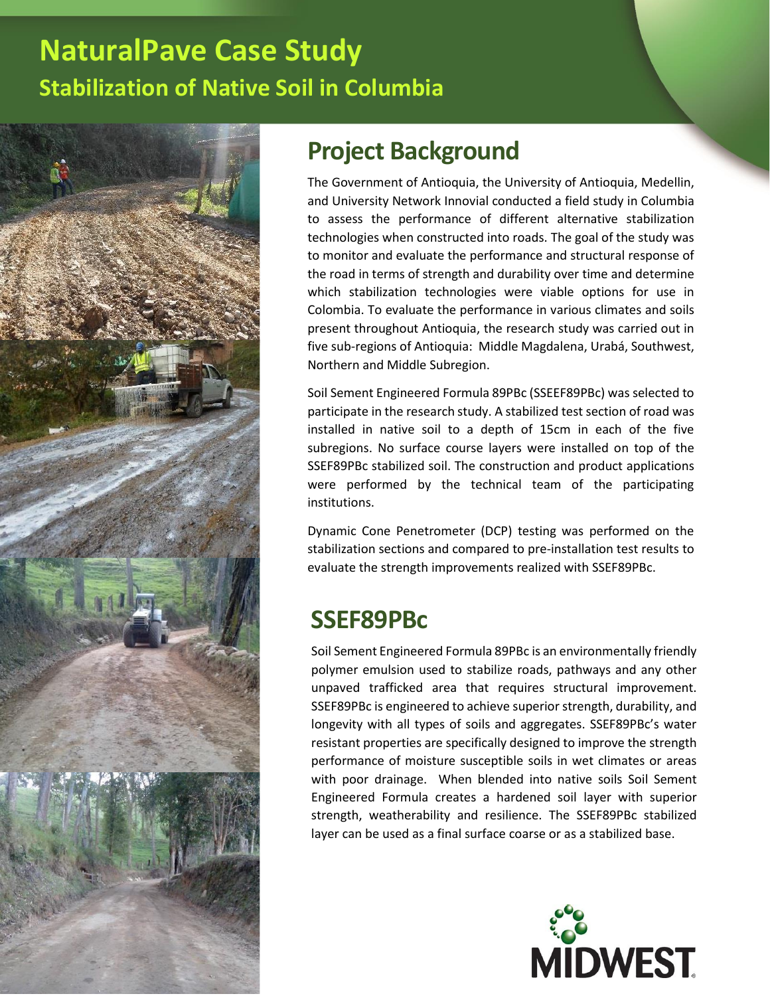# **NaturalPave Case Study Stabilization of Native Soil in Columbia**



#### **Project Background**

The Government of Antioquia, the University of Antioquia, Medellin, and University Network Innovial conducted a field study in Columbia to assess the performance of different alternative stabilization technologies when constructed into roads. The goal of the study was to monitor and evaluate the performance and structural response of the road in terms of strength and durability over time and determine which stabilization technologies were viable options for use in Colombia. To evaluate the performance in various climates and soils present throughout Antioquia, the research study was carried out in five sub-regions of Antioquia: Middle Magdalena, Urabá, Southwest, Northern and Middle Subregion.

Soil Sement Engineered Formula 89PBc (SSEEF89PBc) was selected to participate in the research study. A stabilized test section of road was installed in native soil to a depth of 15cm in each of the five subregions. No surface course layers were installed on top of the SSEF89PBc stabilized soil. The construction and product applications were performed by the technical team of the participating institutions.

Dynamic Cone Penetrometer (DCP) testing was performed on the stabilization sections and compared to pre-installation test results to evaluate the strength improvements realized with SSEF89PBc.

#### **SSEF89PBc**

Soil Sement Engineered Formula 89PBc is an environmentally friendly polymer emulsion used to stabilize roads, pathways and any other unpaved trafficked area that requires structural improvement. SSEF89PBc is engineered to achieve superior strength, durability, and longevity with all types of soils and aggregates. SSEF89PBc's water resistant properties are specifically designed to improve the strength performance of moisture susceptible soils in wet climates or areas with poor drainage. When blended into native soils Soil Sement Engineered Formula creates a hardened soil layer with superior strength, weatherability and resilience. The SSEF89PBc stabilized layer can be used as a final surface coarse or as a stabilized base.

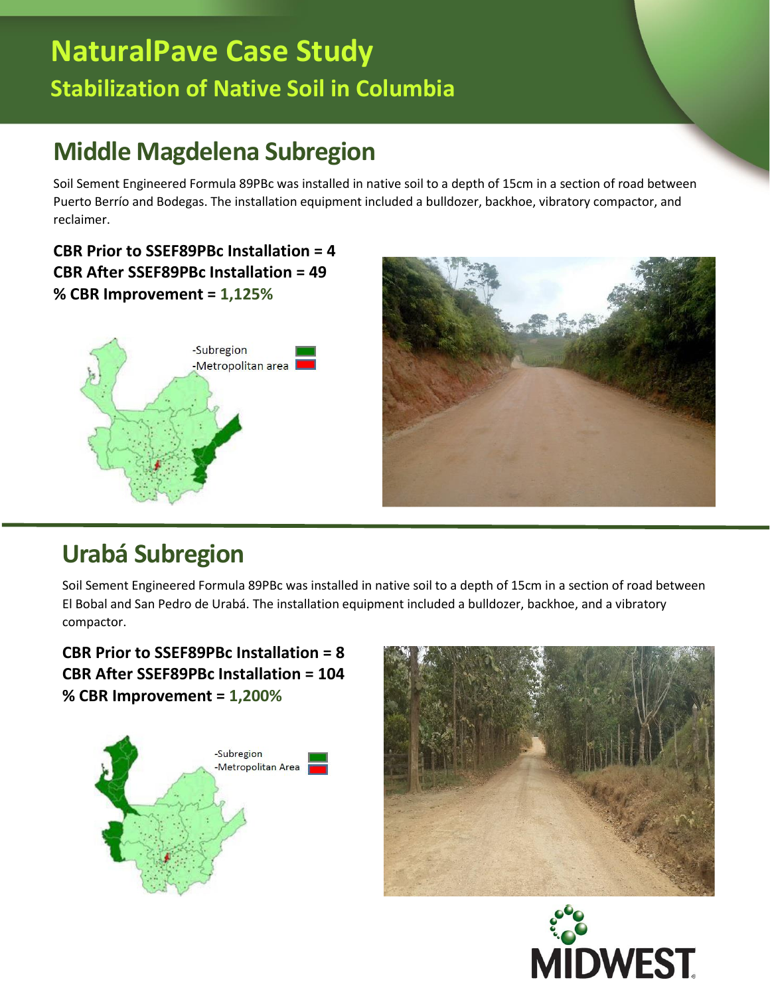## **Middle Magdelena Subregion**

Soil Sement Engineered Formula 89PBc was installed in native soil to a depth of 15cm in a section of road between Puerto Berrío and Bodegas. The installation equipment included a bulldozer, backhoe, vibratory compactor, and reclaimer.

**CBR Prior to SSEF89PBc Installation = 4 CBR After SSEF89PBc Installation = 49 % CBR Improvement = 1,125%**





## **Urabá Subregion**

Soil Sement Engineered Formula 89PBc was installed in native soil to a depth of 15cm in a section of road between El Bobal and San Pedro de Urabá. The installation equipment included a bulldozer, backhoe, and a vibratory compactor.

#### **CBR Prior to SSEF89PBc Installation = 8 CBR After SSEF89PBc Installation = 104 % CBR Improvement = 1,200%**





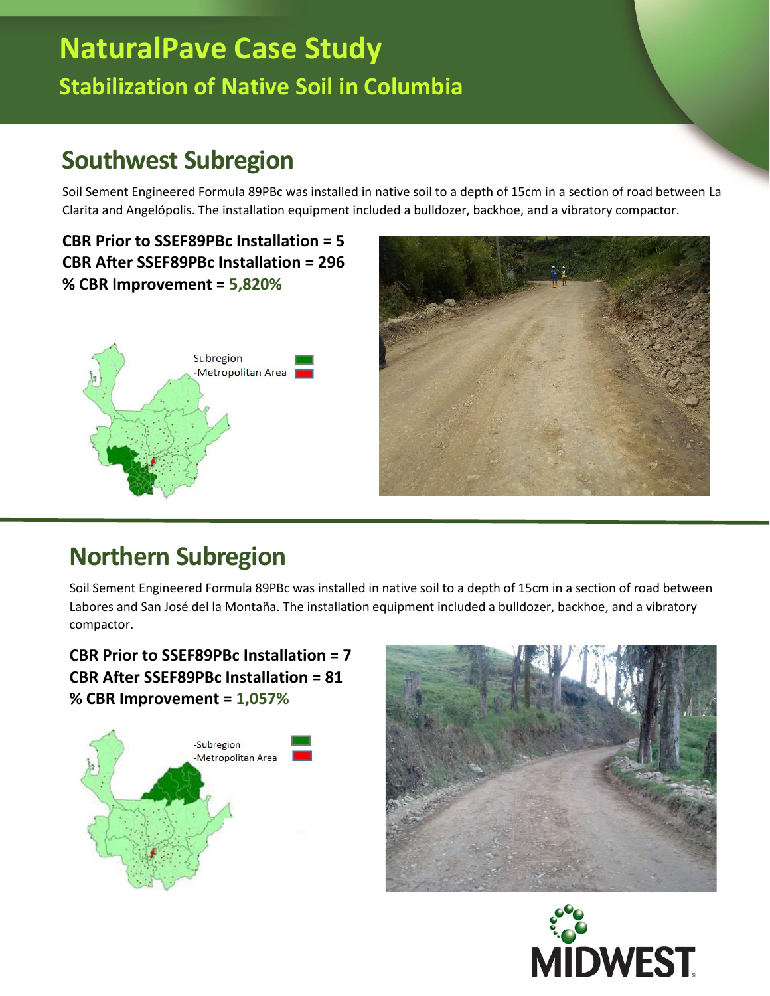# **NaturalPave Case Study Stabilization of Native Soil in Columbia**

#### **Southwest Subregion**

Soil Sement Engineered Formula 89PBc was installed in native soil to a depth of 15cm in a section of road between La Clarita and Angelópolis. The installation equipment included a bulldozer, backhoe, and a vibratory compactor.

**CBR Prior to SSEF89PBc Installation = 5 CBR After SSEF89PBc Installation = 296 % CBR Improvement = 5,820%**





### **Northern Subregion**

Soil Sement Engineered Formula 89PBc was installed in native soil to a depth of 15cm in a section of road between Labores and San José del la Montaña. The installation equipment included a bulldozer, backhoe, and a vibratory compactor.

#### **CBR Prior to SSEF89PBc Installation = 7 CBR After SSEF89PBc Installation = 81 % CBR Improvement = 1,057%**